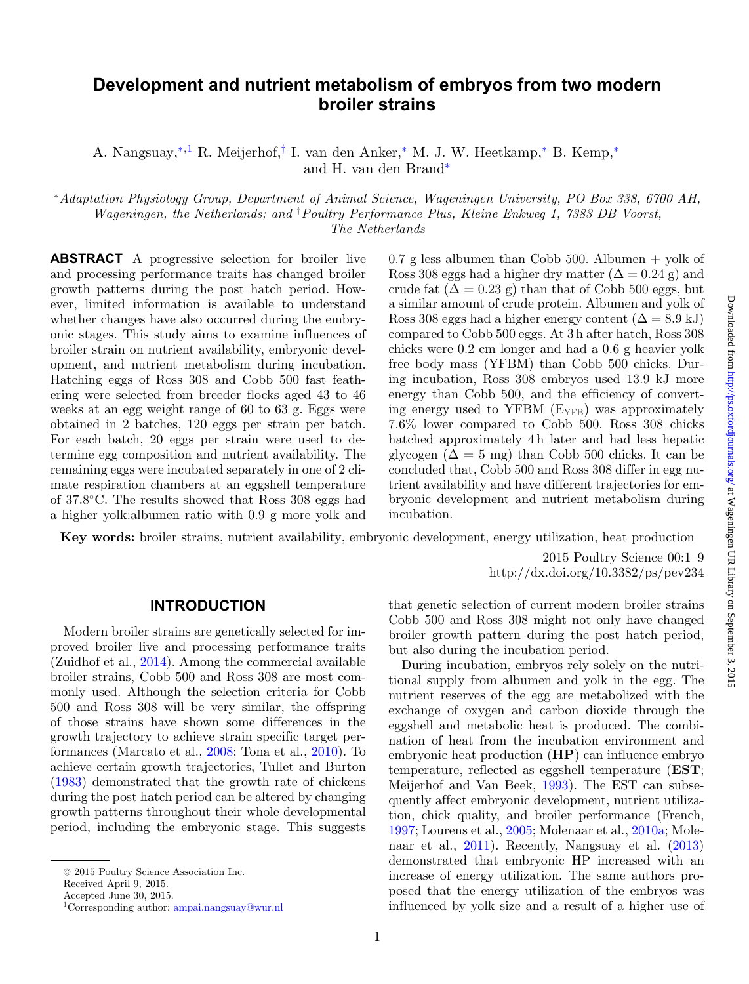# **Development and nutrient metabolism of embryos from two modern broiler strains**

A. Nangsuay,[∗](#page-0-0)[,1](#page-0-1) R. Meijerhof,[†](#page-0-2) I. van den Anker,[∗](#page-0-0) M. J. W. Heetkamp,[∗](#page-0-0) B. Kemp,[∗](#page-0-0) and H. van den Brand[∗](#page-0-0)

<span id="page-0-0"></span><sup>∗</sup>*Adaptation Physiology Group, Department of Animal Science, Wageningen University, PO Box 338, 6700 AH, Wageningen, the Netherlands; and* † *Poultry Performance Plus, Kleine Enkweg 1, 7383 DB Voorst, The Netherlands*

**ABSTRACT** A progressive selection for broiler live and processing performance traits has changed broiler growth patterns during the post hatch period. However, limited information is available to understand whether changes have also occurred during the embryonic stages. This study aims to examine influences of broiler strain on nutrient availability, embryonic development, and nutrient metabolism during incubation. Hatching eggs of Ross 308 and Cobb 500 fast feathering were selected from breeder flocks aged 43 to 46 weeks at an egg weight range of 60 to 63 g. Eggs were obtained in 2 batches, 120 eggs per strain per batch. For each batch, 20 eggs per strain were used to determine egg composition and nutrient availability. The remaining eggs were incubated separately in one of 2 climate respiration chambers at an eggshell temperature of 37.8◦C. The results showed that Ross 308 eggs had a higher yolk:albumen ratio with 0.9 g more yolk and <span id="page-0-2"></span> $0.7$  g less albumen than Cobb 500. Albumen + yolk of Ross 308 eggs had a higher dry matter  $(\Delta = 0.24 \text{ g})$  and crude fat  $(\Delta = 0.23 \text{ g})$  than that of Cobb 500 eggs, but a similar amount of crude protein. Albumen and yolk of Ross 308 eggs had a higher energy content  $(\Delta = 8.9 \text{ kJ})$ compared to Cobb 500 eggs. At 3 h after hatch, Ross 308 chicks were 0.2 cm longer and had a 0.6 g heavier yolk free body mass (YFBM) than Cobb 500 chicks. During incubation, Ross 308 embryos used 13.9 kJ more energy than Cobb 500, and the efficiency of converting energy used to YFBM  $(E_{YFR})$  was approximately 7.6% lower compared to Cobb 500. Ross 308 chicks hatched approximately 4h later and had less hepatic glycogen ( $\Delta = 5$  mg) than Cobb 500 chicks. It can be concluded that, Cobb 500 and Ross 308 differ in egg nutrient availability and have different trajectories for embryonic development and nutrient metabolism during incubation.

**Key words:** broiler strains, nutrient availability, embryonic development, energy utilization, heat production

2015 Poultry Science 00:1–9 http://dx.doi.org/10.3382/ps/pev234

#### **INTRODUCTION**

Modern broiler strains are genetically selected for improved broiler live and processing performance traits (Zuidhof et al., [2014\)](#page-8-0). Among the commercial available broiler strains, Cobb 500 and Ross 308 are most commonly used. Although the selection criteria for Cobb 500 and Ross 308 will be very similar, the offspring of those strains have shown some differences in the growth trajectory to achieve strain specific target performances (Marcato et al., [2008;](#page-7-0) Tona et al., [2010\)](#page-8-1). To achieve certain growth trajectories, Tullet and Burton [\(1983\)](#page-8-2) demonstrated that the growth rate of chickens during the post hatch period can be altered by changing growth patterns throughout their whole developmental period, including the embryonic stage. This suggests

Received April 9, 2015.

<span id="page-0-1"></span>Accepted June 30, 2015.

that genetic selection of current modern broiler strains Cobb 500 and Ross 308 might not only have changed broiler growth pattern during the post hatch period, but also during the incubation period.

During incubation, embryos rely solely on the nutritional supply from albumen and yolk in the egg. The nutrient reserves of the egg are metabolized with the exchange of oxygen and carbon dioxide through the eggshell and metabolic heat is produced. The combination of heat from the incubation environment and embryonic heat production (**HP**) can influence embryo temperature, reflected as eggshell temperature (**EST**; Meijerhof and Van Beek, [1993\)](#page-7-1). The EST can subsequently affect embryonic development, nutrient utilization, chick quality, and broiler performance (French, [1997;](#page-7-2) Lourens et al., [2005;](#page-7-3) Molenaar et al., [2010a;](#page-8-3) Molenaar et al., [2011\)](#page-8-4). Recently, Nangsuay et al. [\(2013\)](#page-8-5) demonstrated that embryonic HP increased with an increase of energy utilization. The same authors proposed that the energy utilization of the embryos was influenced by yolk size and a result of a higher use of

<sup>C</sup> 2015 Poultry Science Association Inc.

<sup>1</sup>Corresponding author: [ampai.nangsuay@wur.nl](mailto:ampai.nangsuay@wur.nl)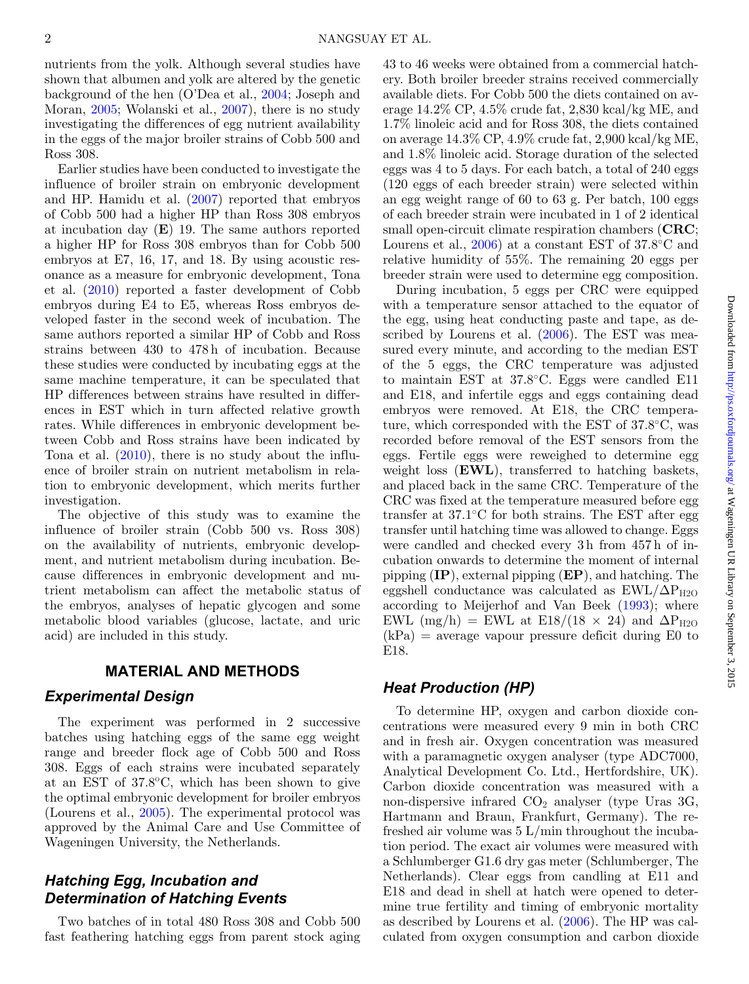nutrients from the yolk. Although several studies have shown that albumen and yolk are altered by the genetic background of the hen (O'Dea et al., [2004;](#page-8-6) Joseph and Moran, [2005;](#page-7-4) Wolanski et al., [2007\)](#page-8-7), there is no study investigating the differences of egg nutrient availability in the eggs of the major broiler strains of Cobb 500 and Ross 308.

Earlier studies have been conducted to investigate the influence of broiler strain on embryonic development and HP. Hamidu et al. [\(2007\)](#page-7-5) reported that embryos of Cobb 500 had a higher HP than Ross 308 embryos at incubation day (**E**) 19. The same authors reported a higher HP for Ross 308 embryos than for Cobb 500 embryos at E7, 16, 17, and 18. By using acoustic resonance as a measure for embryonic development, Tona et al. [\(2010\)](#page-8-1) reported a faster development of Cobb embryos during E4 to E5, whereas Ross embryos developed faster in the second week of incubation. The same authors reported a similar HP of Cobb and Ross strains between 430 to 478 h of incubation. Because these studies were conducted by incubating eggs at the same machine temperature, it can be speculated that HP differences between strains have resulted in differences in EST which in turn affected relative growth rates. While differences in embryonic development between Cobb and Ross strains have been indicated by Tona et al. [\(2010\)](#page-8-1), there is no study about the influence of broiler strain on nutrient metabolism in relation to embryonic development, which merits further investigation.

The objective of this study was to examine the influence of broiler strain (Cobb 500 vs. Ross 308) on the availability of nutrients, embryonic development, and nutrient metabolism during incubation. Because differences in embryonic development and nutrient metabolism can affect the metabolic status of the embryos, analyses of hepatic glycogen and some metabolic blood variables (glucose, lactate, and uric acid) are included in this study.

### **MATERIAL AND METHODS**

### *Experimental Design*

The experiment was performed in 2 successive batches using hatching eggs of the same egg weight range and breeder flock age of Cobb 500 and Ross 308. Eggs of each strains were incubated separately at an EST of  $37.8$ °C, which has been shown to give the optimal embryonic development for broiler embryos (Lourens et al., [2005\)](#page-7-3). The experimental protocol was approved by the Animal Care and Use Committee of Wageningen University, the Netherlands.

### *Hatching Egg, Incubation and Determination of Hatching Events*

Two batches of in total 480 Ross 308 and Cobb 500 fast feathering hatching eggs from parent stock aging 43 to 46 weeks were obtained from a commercial hatchery. Both broiler breeder strains received commercially available diets. For Cobb 500 the diets contained on average 14.2% CP, 4.5% crude fat, 2,830 kcal/kg ME, and 1.7% linoleic acid and for Ross 308, the diets contained on average 14.3% CP, 4.9% crude fat, 2,900 kcal/kg ME, and 1.8% linoleic acid. Storage duration of the selected eggs was 4 to 5 days. For each batch, a total of 240 eggs (120 eggs of each breeder strain) were selected within an egg weight range of 60 to 63 g. Per batch, 100 eggs of each breeder strain were incubated in 1 of 2 identical small open-circuit climate respiration chambers (**CRC**; Lourens et al., [2006\)](#page-7-6) at a constant EST of 37.8◦C and relative humidity of 55%. The remaining 20 eggs per breeder strain were used to determine egg composition.

During incubation, 5 eggs per CRC were equipped with a temperature sensor attached to the equator of the egg, using heat conducting paste and tape, as described by Lourens et al. [\(2006\)](#page-7-6). The EST was measured every minute, and according to the median EST of the 5 eggs, the CRC temperature was adjusted to maintain EST at 37.8◦C. Eggs were candled E11 and E18, and infertile eggs and eggs containing dead embryos were removed. At E18, the CRC temperature, which corresponded with the EST of 37.8◦C, was recorded before removal of the EST sensors from the eggs. Fertile eggs were reweighed to determine egg weight loss (**EWL**), transferred to hatching baskets, and placed back in the same CRC. Temperature of the CRC was fixed at the temperature measured before egg transfer at 37.1◦C for both strains. The EST after egg transfer until hatching time was allowed to change. Eggs were candled and checked every 3 h from 457 h of incubation onwards to determine the moment of internal pipping (**IP**), external pipping (**EP**), and hatching. The eggshell conductance was calculated as  $\text{EWL}/\Delta P_{H2O}$ according to Meijerhof and Van Beek [\(1993\)](#page-7-1); where EWL (mg/h) = EWL at E18/(18  $\times$  24) and  $\Delta P_{H2O}$  $(kPa)$  = average vapour pressure deficit during E0 to E18.

### *Heat Production (HP)*

To determine HP, oxygen and carbon dioxide concentrations were measured every 9 min in both CRC and in fresh air. Oxygen concentration was measured with a paramagnetic oxygen analyser (type ADC7000, Analytical Development Co. Ltd., Hertfordshire, UK). Carbon dioxide concentration was measured with a non-dispersive infrared  $CO<sub>2</sub>$  analyser (type Uras 3G, Hartmann and Braun, Frankfurt, Germany). The refreshed air volume was  $5 \text{ L/min}$  throughout the incubation period. The exact air volumes were measured with a Schlumberger G1.6 dry gas meter (Schlumberger, The Netherlands). Clear eggs from candling at E11 and E18 and dead in shell at hatch were opened to determine true fertility and timing of embryonic mortality as described by Lourens et al. [\(2006\)](#page-7-6). The HP was calculated from oxygen consumption and carbon dioxide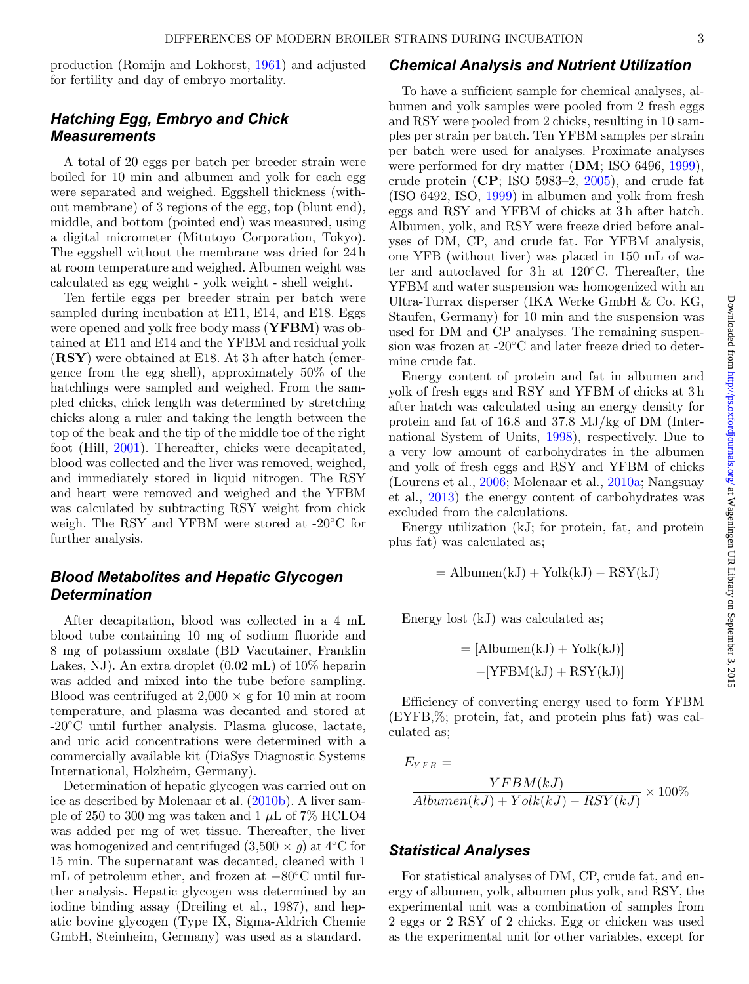production (Romijn and Lokhorst, [1961\)](#page-8-8) and adjusted for fertility and day of embryo mortality.

# *Hatching Egg, Embryo and Chick Measurements*

A total of 20 eggs per batch per breeder strain were boiled for 10 min and albumen and yolk for each egg were separated and weighed. Eggshell thickness (without membrane) of 3 regions of the egg, top (blunt end), middle, and bottom (pointed end) was measured, using a digital micrometer (Mitutoyo Corporation, Tokyo). The eggshell without the membrane was dried for 24 h at room temperature and weighed. Albumen weight was calculated as egg weight - yolk weight - shell weight.

Ten fertile eggs per breeder strain per batch were sampled during incubation at E11, E14, and E18. Eggs were opened and yolk free body mass (**YFBM**) was obtained at E11 and E14 and the YFBM and residual yolk (**RSY**) were obtained at E18. At 3 h after hatch (emergence from the egg shell), approximately 50% of the hatchlings were sampled and weighed. From the sampled chicks, chick length was determined by stretching chicks along a ruler and taking the length between the top of the beak and the tip of the middle toe of the right foot (Hill, [2001\)](#page-7-7). Thereafter, chicks were decapitated, blood was collected and the liver was removed, weighed, and immediately stored in liquid nitrogen. The RSY and heart were removed and weighed and the YFBM was calculated by subtracting RSY weight from chick weigh. The RSY and YFBM were stored at -20◦C for further analysis.

# *Blood Metabolites and Hepatic Glycogen Determination*

After decapitation, blood was collected in a 4 mL blood tube containing 10 mg of sodium fluoride and 8 mg of potassium oxalate (BD Vacutainer, Franklin Lakes, NJ). An extra droplet (0.02 mL) of 10% heparin was added and mixed into the tube before sampling. Blood was centrifuged at  $2,000 \times g$  for 10 min at room temperature, and plasma was decanted and stored at -20◦C until further analysis. Plasma glucose, lactate, and uric acid concentrations were determined with a commercially available kit (DiaSys Diagnostic Systems International, Holzheim, Germany).

Determination of hepatic glycogen was carried out on ice as described by Molenaar et al. [\(2010b\)](#page-8-9). A liver sample of 250 to 300 mg was taken and 1  $\mu$ L of 7% HCLO4 was added per mg of wet tissue. Thereafter, the liver was homogenized and centrifuged  $(3,500 \times g)$  at 4<sup>°</sup>C for 15 min. The supernatant was decanted, cleaned with 1 mL of petroleum ether, and frozen at −80◦C until further analysis. Hepatic glycogen was determined by an iodine binding assay (Dreiling et al., 1987), and hepatic bovine glycogen (Type IX, Sigma-Aldrich Chemie GmbH, Steinheim, Germany) was used as a standard.

### *Chemical Analysis and Nutrient Utilization*

To have a sufficient sample for chemical analyses, albumen and yolk samples were pooled from 2 fresh eggs and RSY were pooled from 2 chicks, resulting in 10 samples per strain per batch. Ten YFBM samples per strain per batch were used for analyses. Proximate analyses were performed for dry matter (**DM**; ISO 6496, [1999\)](#page-7-8), crude protein (**CP**; ISO 5983–2, [2005\)](#page-7-9), and crude fat (ISO 6492, ISO, [1999\)](#page-7-10) in albumen and yolk from fresh eggs and RSY and YFBM of chicks at 3 h after hatch. Albumen, yolk, and RSY were freeze dried before analyses of DM, CP, and crude fat. For YFBM analysis, one YFB (without liver) was placed in 150 mL of water and autoclaved for 3h at  $120^{\circ}$ C. Thereafter, the YFBM and water suspension was homogenized with an Ultra-Turrax disperser (IKA Werke GmbH & Co. KG, Staufen, Germany) for 10 min and the suspension was used for DM and CP analyses. The remaining suspension was frozen at -20℃ and later freeze dried to determine crude fat.

Energy content of protein and fat in albumen and yolk of fresh eggs and RSY and YFBM of chicks at 3 h after hatch was calculated using an energy density for protein and fat of 16.8 and 37.8 MJ/kg of DM (International System of Units, [1998\)](#page-7-11), respectively. Due to a very low amount of carbohydrates in the albumen and yolk of fresh eggs and RSY and YFBM of chicks (Lourens et al., [2006;](#page-7-6) Molenaar et al., [2010a;](#page-8-3) Nangsuay et al., [2013\)](#page-8-5) the energy content of carbohydrates was excluded from the calculations.

Energy utilization (kJ; for protein, fat, and protein plus fat) was calculated as;

$$
= \mathrm{Albumen}(kJ) + \mathrm{Yolk}(kJ) - \mathrm{RSY}(kJ)
$$

Energy lost (kJ) was calculated as;

$$
= [Albumen(kJ) + Yolk(kJ)]
$$

$$
-[YFBM(kJ) + RSY(kJ)]
$$

Efficiency of converting energy used to form YFBM (EYFB,%; protein, fat, and protein plus fat) was calculated as;

 $E_{YFB} =$  $\frac{YFBM(kJ)}{Albumen(kJ) + Yolk(kJ) - RSY(kJ)} \times 100\%$ 

### *Statistical Analyses*

For statistical analyses of DM, CP, crude fat, and energy of albumen, yolk, albumen plus yolk, and RSY, the experimental unit was a combination of samples from 2 eggs or 2 RSY of 2 chicks. Egg or chicken was used as the experimental unit for other variables, except for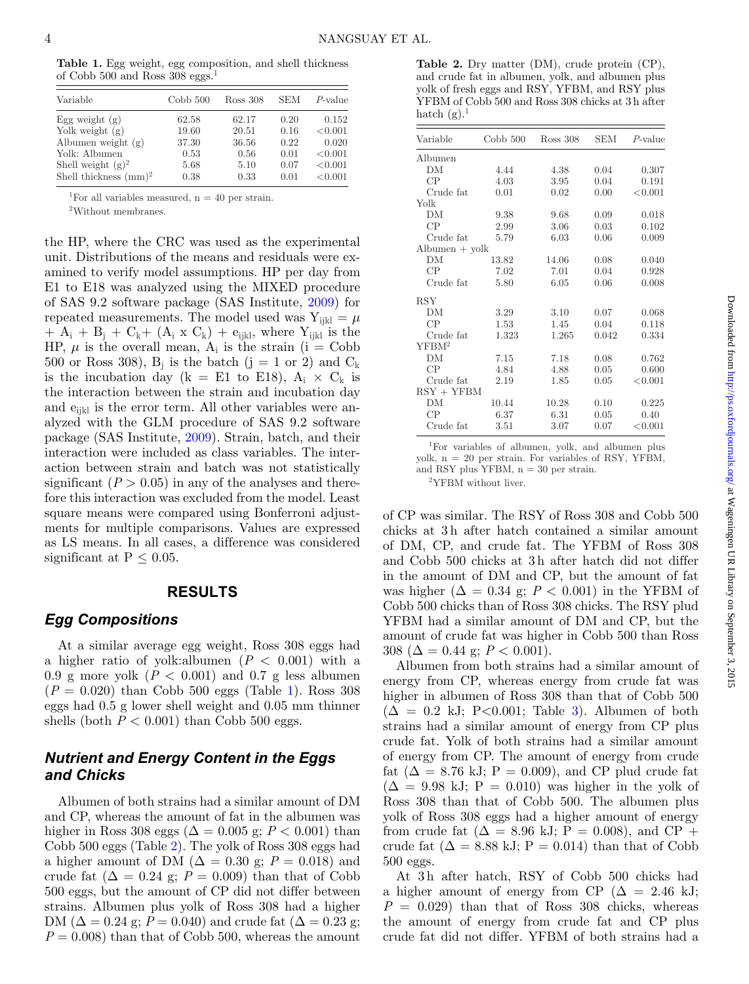<span id="page-3-0"></span>**Table 1.** Egg weight, egg composition, and shell thickness of Cobb 500 and Ross 308 eggs.1

| Variable                        | Cobb 500 | Ross 308 | <b>SEM</b> | $P$ -value |
|---------------------------------|----------|----------|------------|------------|
| Egg weight $(g)$                | 62.58    | 62.17    | 0.20       | 0.152      |
| Yolk weight $(g)$               | 19.60    | 20.51    | 0.16       | < 0.001    |
| Albumen weight $(g)$            | 37.30    | 36.56    | 0.22       | 0.020      |
| Yolk: Albumen                   | 0.53     | 0.56     | 0.01       | < 0.001    |
| Shell weight $(g)^2$            | 5.68     | 5.10     | 0.07       | < 0.001    |
| Shell thickness $\text{(mm)}^2$ | 0.38     | 0.33     | 0.01       | < 0.001    |

<sup>1</sup>For all variables measured,  $n = 40$  per strain.

2Without membranes.

the HP, where the CRC was used as the experimental unit. Distributions of the means and residuals were examined to verify model assumptions. HP per day from E1 to E18 was analyzed using the MIXED procedure of SAS 9.2 software package (SAS Institute, [2009\)](#page-8-10) for repeated measurements. The model used was  $Y_{ijkl} = \mu$  $+ A_i + B_j + C_k + (A_i \times C_k) + e_{ijkl}$ , where Y<sub>ijkl</sub> is the HP,  $\mu$  is the overall mean,  $A_i$  is the strain (i = Cobb 500 or Ross 308),  $B_i$  is the batch (j = 1 or 2) and  $C_k$ is the incubation day (k = E1 to E18),  $A_i \times C_k$  is the interaction between the strain and incubation day and  $e_{ijkl}$  is the error term. All other variables were analyzed with the GLM procedure of SAS 9.2 software package (SAS Institute, [2009\)](#page-8-10). Strain, batch, and their interaction were included as class variables. The interaction between strain and batch was not statistically significant  $(P > 0.05)$  in any of the analyses and therefore this interaction was excluded from the model. Least square means were compared using Bonferroni adjustments for multiple comparisons. Values are expressed as LS means. In all cases, a difference was considered significant at  $P \leq 0.05$ .

#### **RESULTS**

### *Egg Compositions*

At a similar average egg weight, Ross 308 eggs had a higher ratio of yolk:albumen  $(P < 0.001)$  with a 0.9 g more yolk  $(P < 0.001)$  and 0.7 g less albumen  $(P = 0.020)$  than Cobb 500 eggs (Table [1\)](#page-3-0). Ross 308 eggs had 0.5 g lower shell weight and 0.05 mm thinner shells (both  $P < 0.001$ ) than Cobb 500 eggs.

# *Nutrient and Energy Content in the Eggs and Chicks*

Albumen of both strains had a similar amount of DM and CP, whereas the amount of fat in the albumen was higher in Ross 308 eggs ( $\Delta = 0.005$  g;  $P < 0.001$ ) than Cobb 500 eggs (Table [2\)](#page-3-1). The yolk of Ross 308 eggs had a higher amount of DM ( $\Delta = 0.30$  g;  $P = 0.018$ ) and crude fat  $(\Delta = 0.24 \text{ g}; P = 0.009)$  than that of Cobb 500 eggs, but the amount of CP did not differ between strains. Albumen plus yolk of Ross 308 had a higher DM ( $\Delta = 0.24$  g;  $P = 0.040$ ) and crude fat ( $\Delta = 0.23$  g;  $P = 0.008$ ) than that of Cobb 500, whereas the amount

<span id="page-3-1"></span>**Table 2.** Dry matter (DM), crude protein (CP), and crude fat in albumen, yolk, and albumen plus yolk of fresh eggs and RSY, YFBM, and RSY plus YFBM of Cobb 500 and Ross 308 chicks at 3 h after hatch  $(g)$ .<sup>1</sup>

| Variable                       | Cobb 500 | Ross 308 | SEM   | $P$ -value   |
|--------------------------------|----------|----------|-------|--------------|
| Albumen                        |          |          |       |              |
| DM                             | 4.44     | 4.38     | 0.04  | 0.307        |
| CP                             | 4.03     | 3.95     | 0.04  | 0.191        |
| Crude fat                      | 0.01     | 0.02     | 0.00  | ${}_{0.001}$ |
| Yolk                           |          |          |       |              |
| DM                             | 9.38     | 9.68     | 0.09  | 0.018        |
| CP                             | 2.99     | 3.06     | 0.03  | 0.102        |
| Crude fat                      | 5.79     | 6.03     | 0.06  | 0.009        |
| $\text{Albumen} + \text{yolk}$ |          |          |       |              |
| DМ                             | 13.82    | 14.06    | 0.08  | 0.040        |
| CP                             | 7.02     | 7.01     | 0.04  | 0.928        |
| Crude fat                      | 5.80     | 6.05     | 0.06  | 0.008        |
| RSY                            |          |          |       |              |
| DM                             | 3.29     | 3.10     | 0.07  | 0.068        |
| CP                             | 1.53     | 1.45     | 0.04  | 0.118        |
| Crude fat                      | 1.323    | 1.265    | 0.042 | 0.334        |
| YFBM <sup>2</sup>              |          |          |       |              |
| DM                             | 7.15     | 7.18     | 0.08  | 0.762        |
| CP                             | 4.84     | 4.88     | 0.05  | 0.600        |
| Crude fat                      | 2.19     | 1.85     | 0.05  | < 0.001      |
| $RSY + YFBM$                   |          |          |       |              |
| DМ                             | 10.44    | 10.28    | 0.10  | 0.225        |
| CP                             | 6.37     | 6.31     | 0.05  | 0.40         |
| Crude fat                      | 3.51     | 3.07     | 0.07  | < 0.001      |

1For variables of albumen, yolk, and albumen plus yolk, n = 20 per strain. For variables of RSY, YFBM,

and RSY plus YFBM,  $n = 30$  per strain.

2YFBM without liver.

of CP was similar. The RSY of Ross 308 and Cobb 500 chicks at 3 h after hatch contained a similar amount of DM, CP, and crude fat. The YFBM of Ross 308 and Cobb 500 chicks at 3 h after hatch did not differ in the amount of DM and CP, but the amount of fat was higher  $(\Delta = 0.34 \text{ g}; P < 0.001)$  in the YFBM of Cobb 500 chicks than of Ross 308 chicks. The RSY plud YFBM had a similar amount of DM and CP, but the amount of crude fat was higher in Cobb 500 than Ross 308 ( $\Delta = 0.44$  g;  $P < 0.001$ ).

Albumen from both strains had a similar amount of energy from CP, whereas energy from crude fat was higher in albumen of Ross 308 than that of Cobb 500  $(\Delta = 0.2 \text{ kJ}; \text{ P}<0.001; \text{ Table } 3)$  $(\Delta = 0.2 \text{ kJ}; \text{ P}<0.001; \text{ Table } 3)$ . Albumen of both strains had a similar amount of energy from CP plus crude fat. Yolk of both strains had a similar amount of energy from CP. The amount of energy from crude fat ( $\Delta = 8.76$  kJ; P = 0.009), and CP plud crude fat  $(\Delta = 9.98 \text{ kJ}; \text{P} = 0.010)$  was higher in the yolk of Ross 308 than that of Cobb 500. The albumen plus yolk of Ross 308 eggs had a higher amount of energy from crude fat  $(\Delta = 8.96 \text{ kJ}; P = 0.008)$ , and CP + crude fat  $(\Delta = 8.88 \text{ kJ}; P = 0.014)$  than that of Cobb 500 eggs.

At 3h after hatch, RSY of Cobb 500 chicks had a higher amount of energy from CP ( $\Delta = 2.46$  kJ;  $P = 0.029$ ) than that of Ross 308 chicks, whereas the amount of energy from crude fat and CP plus crude fat did not differ. YFBM of both strains had a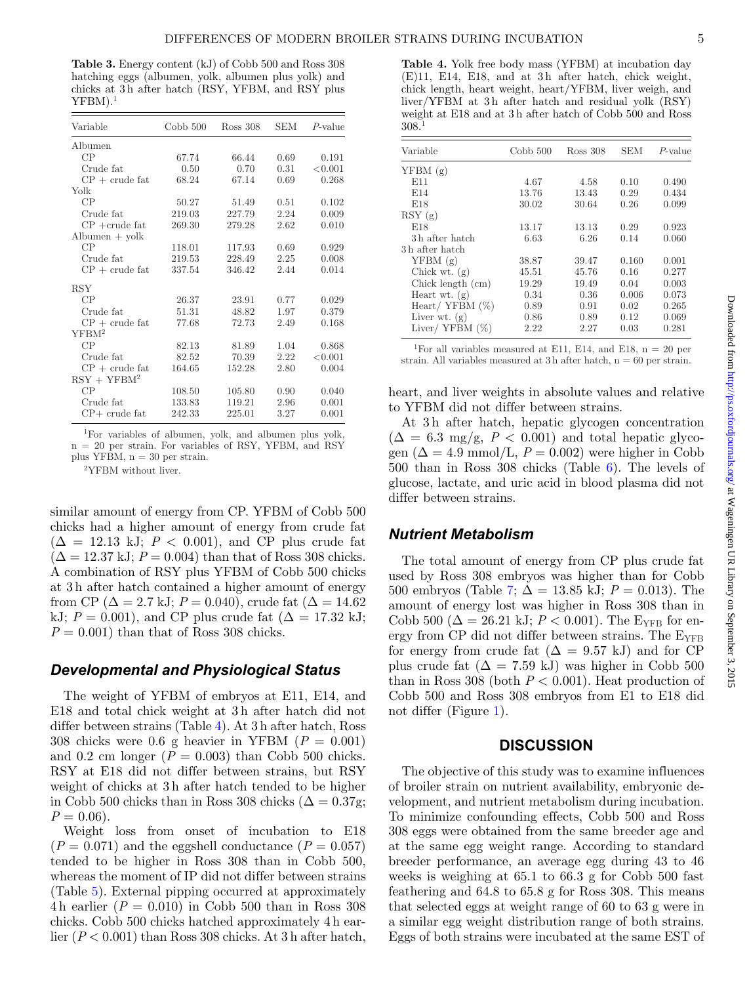<span id="page-4-0"></span>**Table 3.** Energy content (kJ) of Cobb 500 and Ross 308 hatching eggs (albumen, yolk, albumen plus yolk) and chicks at 3 h after hatch (RSY, YFBM, and RSY plus  $YFBM$ ).<sup>1</sup>

| Variable                       | Cobb 500 | Ross 308 | <b>SEM</b> | $P$ -value |
|--------------------------------|----------|----------|------------|------------|
| Albumen                        |          |          |            |            |
| CP                             | 67.74    | 66.44    | 0.69       | 0.191      |
| Crude fat                      | 0.50     | 0.70     | 0.31       | < 0.001    |
| $CP + crude$ fat               | 68.24    | 67.14    | 0.69       | 0.268      |
| Yolk                           |          |          |            |            |
| CP                             | 50.27    | 51.49    | 0.51       | 0.102      |
| Crude fat                      | 219.03   | 227.79   | 2.24       | 0.009      |
| $CP + crude$ fat               | 269.30   | 279.28   | 2.62       | 0.010      |
| $\text{Albumen} + \text{yolk}$ |          |          |            |            |
| CP                             | 118.01   | 117.93   | 0.69       | 0.929      |
| Crude fat                      | 219.53   | 228.49   | 2.25       | 0.008      |
| $CP + crude$ fat               | 337.54   | 346.42   | 2.44       | 0.014      |
| <b>RSY</b>                     |          |          |            |            |
| CP                             | 26.37    | 23.91    | 0.77       | 0.029      |
| Crude fat                      | 51.31    | 48.82    | 1.97       | 0.379      |
| $CP + crude$ fat               | 77.68    | 72.73    | 2.49       | 0.168      |
| YFBM <sup>2</sup>              |          |          |            |            |
| CP                             | 82.13    | 81.89    | 1.04       | 0.868      |
| Crude fat                      | 82.52    | 70.39    | 2.22       | < 0.001    |
| $CP + crude$ fat               | 164.65   | 152.28   | 2.80       | 0.004      |
| $RSY + YFBM2$                  |          |          |            |            |
| CP                             | 108.50   | 105.80   | 0.90       | 0.040      |
| Crude fat                      | 133.83   | 119.21   | 2.96       | 0.001      |
| $CP+$ crude fat                | 242.33   | 225.01   | 3.27       | 0.001      |

1For variables of albumen, yolk, and albumen plus yolk, n = 20 per strain. For variables of RSY, YFBM, and RSY plus YFBM,  $n = 30$  per strain.

2YFBM without liver.

similar amount of energy from CP. YFBM of Cobb 500 chicks had a higher amount of energy from crude fat  $(\Delta = 12.13 \text{ kJ}; P < 0.001)$ , and CP plus crude fat  $(\Delta = 12.37 \text{ kJ}; P = 0.004)$  than that of Ross 308 chicks. A combination of RSY plus YFBM of Cobb 500 chicks at 3 h after hatch contained a higher amount of energy from CP ( $\Delta = 2.7$  kJ;  $P = 0.040$ ), crude fat ( $\Delta = 14.62$ ) kJ;  $P = 0.001$ ), and CP plus crude fat  $(\Delta = 17.32 \text{ kJ})$ ;  $P = 0.001$  than that of Ross 308 chicks.

### *Developmental and Physiological Status*

The weight of YFBM of embryos at E11, E14, and E18 and total chick weight at 3h after hatch did not differ between strains (Table [4\)](#page-4-1). At 3 h after hatch, Ross 308 chicks were 0.6 g heavier in YFBM  $(P = 0.001)$ and 0.2 cm longer  $(P = 0.003)$  than Cobb 500 chicks. RSY at E18 did not differ between strains, but RSY weight of chicks at 3h after hatch tended to be higher in Cobb 500 chicks than in Ross 308 chicks ( $\Delta = 0.37$ g;  $P = 0.06$ .

Weight loss from onset of incubation to E18  $(P = 0.071)$  and the eggshell conductance  $(P = 0.057)$ tended to be higher in Ross 308 than in Cobb 500, whereas the moment of IP did not differ between strains (Table [5\)](#page-5-0). External pipping occurred at approximately 4h earlier  $(P = 0.010)$  in Cobb 500 than in Ross 308 chicks. Cobb 500 chicks hatched approximately 4 h earlier  $(P < 0.001)$  than Ross 308 chicks. At 3 h after hatch,

<span id="page-4-1"></span>**Table 4.** Yolk free body mass (YFBM) at incubation day (E)11, E14, E18, and at 3h after hatch, chick weight, chick length, heart weight, heart/YFBM, liver weigh, and liver/YFBM at 3h after hatch and residual yolk (RSY) weight at E18 and at 3 h after hatch of Cobb 500 and Ross 308.1

| Variable                   | Cobb 500 | Ross 308 | SEM   | $P$ -value |
|----------------------------|----------|----------|-------|------------|
| YFBM(g)                    |          |          |       |            |
| E11                        | 4.67     | 4.58     | 0.10  | 0.490      |
| E14                        | 13.76    | 13.43    | 0.29  | 0.434      |
| E18                        | 30.02    | 30.64    | 0.26  | 0.099      |
| RSY(g)                     |          |          |       |            |
| E18                        | 13.17    | 13.13    | 0.29  | 0.923      |
| 3 <sub>h</sub> after hatch | 6.63     | 6.26     | 0.14  | 0.060      |
| 3h after hatch             |          |          |       |            |
| YFBM(g)                    | 38.87    | 39.47    | 0.160 | 0.001      |
| Chick wt. $(g)$            | 45.51    | 45.76    | 0.16  | 0.277      |
| Chick length (cm)          | 19.29    | 19.49    | 0.04  | 0.003      |
| Heart wt. $(g)$            | 0.34     | 0.36     | 0.006 | 0.073      |
| Heart/ YFBM $(\%)$         | 0.89     | 0.91     | 0.02  | 0.265      |
| Liver wt. $(g)$            | 0.86     | 0.89     | 0.12  | 0.069      |
| Liver/ YFBM $(\%)$         | 2.22     | 2.27     | 0.03  | 0.281      |

<sup>1</sup>For all variables measured at E11, E14, and E18,  $n = 20$  per strain. All variables measured at  $3h$  after hatch,  $n = 60$  per strain.

heart, and liver weights in absolute values and relative to YFBM did not differ between strains.

At 3h after hatch, hepatic glycogen concentration  $(\Delta = 6.3 \text{ mg/g}, P < 0.001)$  and total hepatic glycogen  $(\Delta = 4.9 \text{ mmol/L}, P = 0.002)$  were higher in Cobb 500 than in Ross 308 chicks (Table [6\)](#page-5-1). The levels of glucose, lactate, and uric acid in blood plasma did not differ between strains.

### *Nutrient Metabolism*

The total amount of energy from CP plus crude fat used by Ross 308 embryos was higher than for Cobb 500 embryos (Table [7;](#page-5-2)  $\Delta = 13.85$  kJ;  $P = 0.013$ ). The amount of energy lost was higher in Ross 308 than in Cobb 500 ( $\Delta = 26.21$  kJ;  $P < 0.001$ ). The E<sub>YFB</sub> for energy from CP did not differ between strains. The  $E_{YFB}$ for energy from crude fat  $(\Delta = 9.57 \text{ kJ})$  and for CP plus crude fat  $(\Delta = 7.59 \text{ kJ})$  was higher in Cobb 500 than in Ross 308 (both  $P < 0.001$ ). Heat production of Cobb 500 and Ross 308 embryos from E1 to E18 did not differ (Figure [1\)](#page-5-3).

#### **DISCUSSION**

The objective of this study was to examine influences of broiler strain on nutrient availability, embryonic development, and nutrient metabolism during incubation. To minimize confounding effects, Cobb 500 and Ross 308 eggs were obtained from the same breeder age and at the same egg weight range[.](#page-5-2) According to standard breeder performance, an average egg during 43 to 46 weeks is weighing at 65.1 to 66.3 g for Cobb 500 fast feathering and 64.8 to 65.8 g for Ross 308. This means that selected eggs at weight range of 60 to 63 g were in a similar egg weight distribution range of both strains. Eggs of both strains were incubated at the same EST of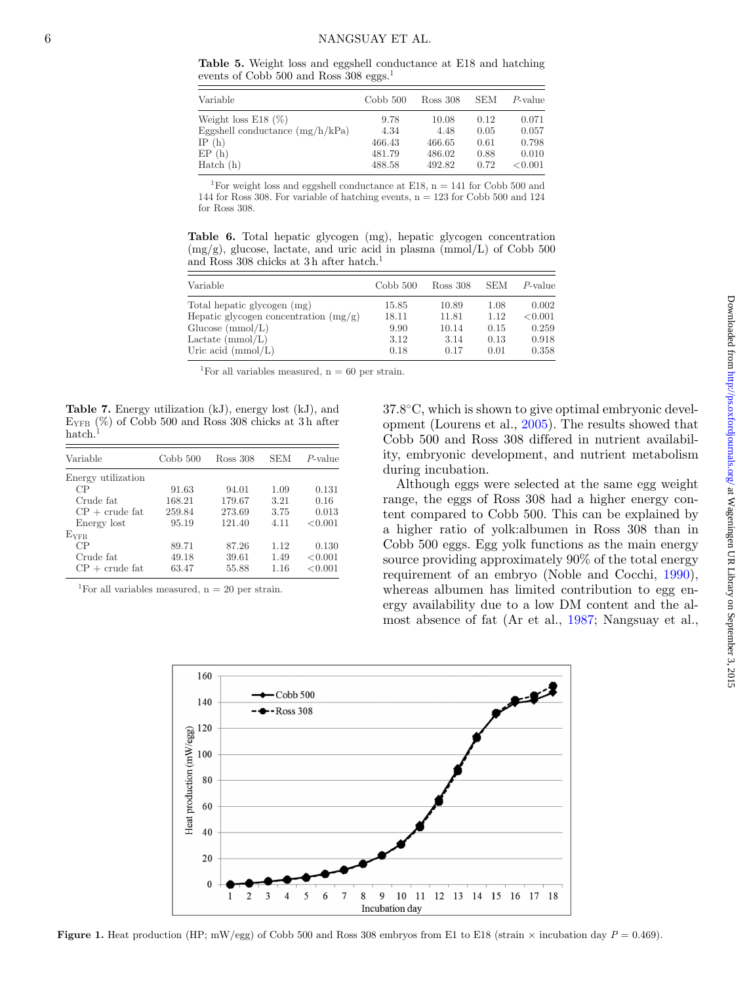<span id="page-5-0"></span>**Table 5.** Weight loss and eggshell conductance at E18 and hatching events of Cobb 500 and Ross 308 eggs.<sup>1</sup>

| Variable                          | Cobb 500 | Ross 308 | <b>SEM</b> | P-value |
|-----------------------------------|----------|----------|------------|---------|
| Weight loss E18 $(\%)$            | 9.78     | 10.08    | 0.12       | 0.071   |
| Eggshell conductance $(mg/h/kPa)$ | 4.34     | 4.48     | 0.05       | 0.057   |
| IP $(h)$                          | 466.43   | 466.65   | 0.61       | 0.798   |
| EP(h)                             | 481.79   | 486.02   | 0.88       | 0.010   |
| Hatch(h)                          | 488.58   | 492.82   | 0.72       | < 0.001 |

<sup>1</sup>For weight loss and eggshell conductance at E18,  $n = 141$  for Cobb 500 and 144 for Ross 308. For variable of hatching events,  $n = 123$  for Cobb 500 and 124 for Ross 308.

<span id="page-5-1"></span>**Table 6.** Total hepatic glycogen (mg), hepatic glycogen concentration  $(mg/g)$ , glucose, lactate, and uric acid in plasma  $(mmol/L)$  of Cobb 500 and Ross 308 chicks at 3 h after hatch.<sup>1</sup>

| Variable                                | Cobb 500 | Ross 308 | <b>SEM</b> | P-value |
|-----------------------------------------|----------|----------|------------|---------|
| Total hepatic glycogen (mg)             | 15.85    | 10.89    | 1.08       | 0.002   |
| Hepatic glycogen concentration $(mg/g)$ | 18.11    | 11.81    | 1.12       | < 0.001 |
| Glucose $(mmol/L)$                      | 9.90     | 10.14    | 0.15       | 0.259   |
| Lactate (mmol/L)                        | 3.12     | 3.14     | 0.13       | 0.918   |
| Uric acid $(\text{mmol/L})$             | 0.18     | 0.17     | 0.01       | 0.358   |

<sup>1</sup>For all variables measured,  $n = 60$  per strain.

<span id="page-5-2"></span>**Table 7.** Energy utilization (kJ), energy lost (kJ), and  $E_{\text{YFB}}$  (%) of Cobb 500 and Ross 308 chicks at 3h after hatch.

| Variable           | Cobb 500 | Ross 308 | SEM  | $P$ -value |
|--------------------|----------|----------|------|------------|
| Energy utilization |          |          |      |            |
| CP                 | 91.63    | 94.01    | 1.09 | 0.131      |
| Crude fat          | 168.21   | 179.67   | 3.21 | 0.16       |
| $CP + crude$ fat   | 259.84   | 273.69   | 3.75 | 0.013      |
| Energy lost        | 95.19    | 121.40   | 4.11 | < 0.001    |
| $E_{\rm VFB}$      |          |          |      |            |
| CP                 | 89.71    | 87.26    | 1.12 | 0.130      |
| Crude fat          | 49.18    | 39.61    | 1.49 | < 0.001    |
| $CP + crude$ fat   | 63.47    | 55.88    | 1.16 | < 0.001    |

<span id="page-5-3"></span><sup>1</sup>For all variables measured,  $n = 20$  per strain.

37.8◦C, which is shown to give optimal embryonic development (Lourens et al., [2005\)](#page-7-3). The results showed that Cobb 500 and Ross 308 differed in nutrient availability, embryonic development, and nutrient metabolism during incubation.

Although eggs were selected at the same egg weight range, the eggs of Ross 308 had a higher energy content compared to Cobb 500. This can be explained by a higher ratio of yolk:albumen in Ross 308 than in Cobb 500 eggs. Egg yolk functions as the main energy source providing approximately 90% of the total energy requirement of an embryo (Noble and Cocchi, [1990\)](#page-8-11), whereas albumen has limited contribution to egg energy availability due to a low DM content and the almost absence of fat (Ar et al., [1987;](#page-7-12) Nangsuay et al.,



**Figure 1.** Heat production (HP; mW/egg) of Cobb 500 and Ross 308 embryos from E1 to E18 (strain  $\times$  incubation day  $P = 0.469$ ).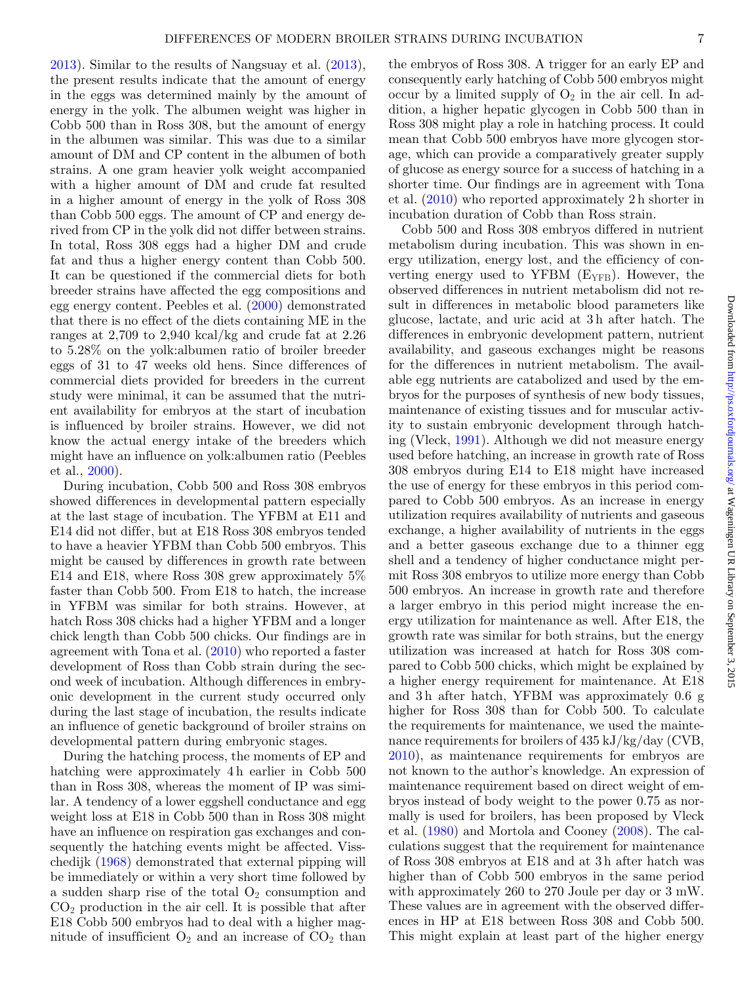[2013\)](#page-8-5). Similar to the results of Nangsuay et al. [\(2013\)](#page-8-5), the present results indicate that the amount of energy in the eggs was determined mainly by the amount of energy in the yolk. The albumen weight was higher in Cobb 500 than in Ross 308, but the amount of energy in the albumen was similar. This was due to a similar amount of DM and CP content in the albumen of both strains. A one gram heavier yolk weight accompanied with a higher amount of DM and crude fat resulted in a higher amount of energy in the yolk of Ross 308 than Cobb 500 eggs. The amount of CP and energy derived from CP in the yolk did not differ between strains. In total, Ross 308 eggs had a higher DM and crude fat and thus a higher energy content than Cobb 500. It can be questioned if the commercial diets for both breeder strains have affected the egg compositions and egg energy content. Peebles et al. [\(2000\)](#page-8-12) demonstrated that there is no effect of the diets containing ME in the ranges at 2,709 to 2,940 kcal/kg and crude fat at 2.26 to 5.28% on the yolk:albumen ratio of broiler breeder eggs of 31 to 47 weeks old hens. Since differences of commercial diets provided for breeders in the current study were minimal, it can be assumed that the nutrient availability for embryos at the start of incubation is influenced by broiler strains. However, we did not know the actual energy intake of the breeders which might have an influence on yolk:albumen ratio (Peebles et al., [2000\)](#page-8-12).

During incubation, Cobb 500 and Ross 308 embryos showed differences in developmental pattern especially at the last stage of incubation. The YFBM at E11 and E14 did not differ, but at E18 Ross 308 embryos tended to have a heavier YFBM than Cobb 500 embryos. This might be caused by differences in growth rate between E14 and E18, where Ross 308 grew approximately 5% faster than Cobb 500. From E18 to hatch, the increase in YFBM was similar for both strains. However, at hatch Ross 308 chicks had a higher YFBM and a longer chick length than Cobb 500 chicks. Our findings are in agreement with Tona et al. [\(2010\)](#page-8-1) who reported a faster development of Ross than Cobb strain during the second week of incubation. Although differences in embryonic development in the current study occurred only during the last stage of incubation, the results indicate an influence of genetic background of broiler strains on developmental pattern during embryonic stages.

During the hatching process, the moments of EP and hatching were approximately 4h earlier in Cobb 500 than in Ross 308, whereas the moment of IP was similar. A tendency of a lower eggshell conductance and egg weight loss at E18 in Cobb 500 than in Ross 308 might have an influence on respiration gas exchanges and consequently the hatching events might be affected. Visschedijk [\(1968\)](#page-8-13) demonstrated that external pipping will be immediately or within a very short time followed by a sudden sharp rise of the total  $O_2$  consumption and  $CO<sub>2</sub>$  production in the air cell. It is possible that after E18 Cobb 500 embryos had to deal with a higher magnitude of insufficient  $O_2$  and an increase of  $CO_2$  than

the embryos of Ross 308. A trigger for an early EP and consequently early hatching of Cobb 500 embryos might occur by a limited supply of  $O_2$  in the air cell. In addition, a higher hepatic glycogen in Cobb 500 than in Ross 308 might play a role in hatching process. It could mean that Cobb 500 embryos have more glycogen storage, which can provide a comparatively greater supply of glucose as energy source for a success of hatching in a shorter time. Our findings are in agreement with Tona et al. [\(2010\)](#page-8-1) who reported approximately 2 h shorter in incubation duration of Cobb than Ross strain.

Cobb 500 and Ross 308 embryos differed in nutrient metabolism during incubation. This was shown in energy utilization, energy lost, and the efficiency of converting energy used to YFBM  $(E_{YFB})$ . However, the observed differences in nutrient metabolism did not result in differences in metabolic blood parameters like glucose, lactate, and uric acid at 3 h after hatch. The differences in embryonic development pattern, nutrient availability, and gaseous exchanges might be reasons for the differences in nutrient metabolism. The available egg nutrients are catabolized and used by the embryos for the purposes of synthesis of new body tissues, maintenance of existing tissues and for muscular activity to sustain embryonic development through hatching (Vleck, [1991\)](#page-8-14). Although we did not measure energy used before hatching, an increase in growth rate of Ross 308 embryos during E14 to E18 might have increased the use of energy for these embryos in this period compared to Cobb 500 embryos. As an increase in energy utilization requires availability of nutrients and gaseous exchange, a higher availability of nutrients in the eggs and a better gaseous exchange due to a thinner egg shell and a tendency of higher conductance might permit Ross 308 embryos to utilize more energy than Cobb 500 embryos. An increase in growth rate and therefore a larger embryo in this period might increase the energy utilization for maintenance as well. After E18, the growth rate was similar for both strains, but the energy utilization was increased at hatch for Ross 308 compared to Cobb 500 chicks, which might be explained by a higher energy requirement for maintenance. At E18 and 3 h after hatch, YFBM was approximately 0.6 g higher for Ross 308 than for Cobb 500. To calculate the requirements for maintenance, we used the maintenance requirements for broilers of 435 kJ/kg/day (CVB, [2010\)](#page-7-13), as maintenance requirements for embryos are not known to the author's knowledge. An expression of maintenance requirement based on direct weight of embryos instead of body weight to the power 0.75 as normally is used for broilers, has been proposed by Vleck et al. [\(1980\)](#page-8-15) and Mortola and Cooney [\(2008\)](#page-8-16). The calculations suggest that the requirement for maintenance of Ross 308 embryos at E18 and at 3 h after hatch was higher than of Cobb 500 embryos in the same period with approximately 260 to 270 Joule per day or 3 mW. These values are in agreement with the observed differences in HP at E18 between Ross 308 and Cobb 500. This might explain at least part of the higher energy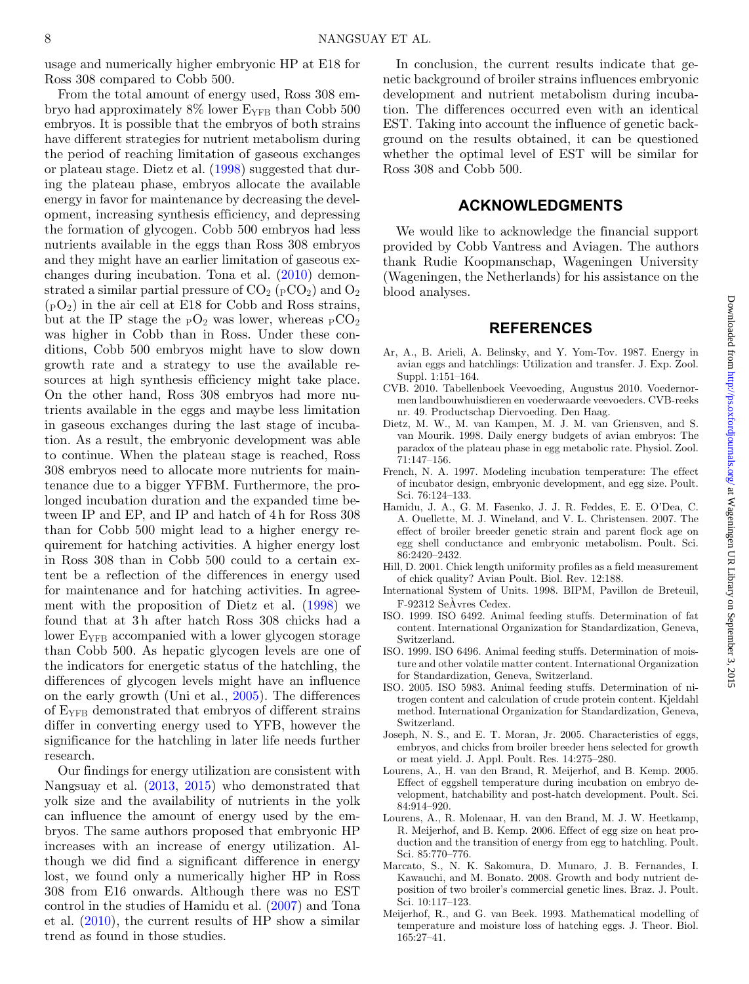usage and numerically higher embryonic HP at E18 for Ross 308 compared to Cobb 500.

From the total amount of energy used, Ross 308 embryo had approximately  $8\%$  lower E<sub>YFB</sub> than Cobb 500 embryos. It is possible that the embryos of both strains have different strategies for nutrient metabolism during the period of reaching limitation of gaseous exchanges or plateau stage. Dietz et al. [\(1998\)](#page-7-14) suggested that during the plateau phase, embryos allocate the available energy in favor for maintenance by decreasing the development, increasing synthesis efficiency, and depressing the formation of glycogen. Cobb 500 embryos had less nutrients available in the eggs than Ross 308 embryos and they might have an earlier limitation of gaseous exchanges during incubation. Tona et al. [\(2010\)](#page-8-1) demonstrated a similar partial pressure of  $CO_2$  ( $pCO_2$ ) and  $O_2$  $(pO_2)$  in the air cell at E18 for Cobb and Ross strains, but at the IP stage the  $pO_2$  was lower, whereas  $pCO_2$ was higher in Cobb than in Ross. Under these conditions, Cobb 500 embryos might have to slow down growth rate and a strategy to use the available resources at high synthesis efficiency might take place. On the other hand, Ross 308 embryos had more nutrients available in the eggs and maybe less limitation in gaseous exchanges during the last stage of incubation. As a result, the embryonic development was able to continue. When the plateau stage is reached, Ross 308 embryos need to allocate more nutrients for maintenance due to a bigger YFBM. Furthermore, the prolonged incubation duration and the expanded time between IP and EP, and IP and hatch of 4 h for Ross 308 than for Cobb 500 might lead to a higher energy requirement for hatching activities. A higher energy lost in Ross 308 than in Cobb 500 could to a certain extent be a reflection of the differences in energy used for maintenance and for hatching activities. In agreement with the proposition of Dietz et al. [\(1998\)](#page-7-14) we found that at 3h after hatch Ross 308 chicks had a lower E<sub>YFB</sub> accompanied with a lower glycogen storage than Cobb 500. As hepatic glycogen levels are one of the indicators for energetic status of the hatchling, the differences of glycogen levels might have an influence on the early growth (Uni et al., [2005\)](#page-8-17). The differences of EYFB demonstrated that embryos of different strains differ in converting energy used to YFB, however the significance for the hatchling in later life needs further research.

Our findings for energy utilization are consistent with Nangsuay et al. [\(2013,](#page-8-5) [2015\)](#page-8-18) who demonstrated that yolk size and the availability of nutrients in the yolk can influence the amount of energy used by the embryos. The same authors proposed that embryonic HP increases with an increase of energy utilization. Although we did find a significant difference in energy lost, we found only a numerically higher HP in Ross 308 from E16 onwards. Although there was no EST control in the studies of Hamidu et al. [\(2007\)](#page-7-5) and Tona et al. [\(2010\)](#page-8-1), the current results of HP show a similar trend as found in those studies.

In conclusion, the current results indicate that genetic background of broiler strains influences embryonic development and nutrient metabolism during incubation. The differences occurred even with an identical EST. Taking into account the influence of genetic background on the results obtained, it can be questioned whether the optimal level of EST will be similar for Ross 308 and Cobb 500.

### **ACKNOWLEDGMENTS**

We would like to acknowledge the financial support provided by Cobb Vantress and Aviagen. The authors thank Rudie Koopmanschap, Wageningen University (Wageningen, the Netherlands) for his assistance on the blood analyses.

#### **REFERENCES**

- <span id="page-7-12"></span>Ar, A., B. Arieli, A. Belinsky, and Y. Yom-Tov. 1987. Energy in avian eggs and hatchlings: Utilization and transfer. J. Exp. Zool. Suppl. 1:151–164.
- <span id="page-7-13"></span>CVB. 2010. Tabellenboek Veevoeding, Augustus 2010. Voedernormen landbouwhuisdieren en voederwaarde veevoeders. CVB-reeks nr. 49. Productschap Diervoeding. Den Haag.
- <span id="page-7-14"></span>Dietz, M. W., M. van Kampen, M. J. M. van Griensven, and S. van Mourik. 1998. Daily energy budgets of avian embryos: The paradox of the plateau phase in egg metabolic rate. Physiol. Zool. 71:147–156.
- <span id="page-7-2"></span>French, N. A. 1997. Modeling incubation temperature: The effect of incubator design, embryonic development, and egg size. Poult. Sci. 76:124–133.
- <span id="page-7-5"></span>Hamidu, J. A., G. M. Fasenko, J. J. R. Feddes, E. E. O'Dea, C. A. Ouellette, M. J. Wineland, and V. L. Christensen. 2007. The effect of broiler breeder genetic strain and parent flock age on egg shell conductance and embryonic metabolism. Poult. Sci. 86:2420–2432.
- <span id="page-7-7"></span>Hill, D. 2001. Chick length uniformity profiles as a field measurement of chick quality? Avian Poult. Biol. Rev. 12:188.
- <span id="page-7-11"></span>International System of Units. 1998. BIPM, Pavillon de Breteuil, F-92312 SeAvres Cedex. `
- <span id="page-7-10"></span>ISO. 1999. ISO 6492. Animal feeding stuffs. Determination of fat content. International Organization for Standardization, Geneva, Switzerland.
- <span id="page-7-8"></span>ISO. 1999. ISO 6496. Animal feeding stuffs. Determination of moisture and other volatile matter content. International Organization for Standardization, Geneva, Switzerland.
- <span id="page-7-9"></span>ISO. 2005. ISO 5983. Animal feeding stuffs. Determination of nitrogen content and calculation of crude protein content. Kjeldahl method. International Organization for Standardization, Geneva, Switzerland.
- <span id="page-7-4"></span>Joseph, N. S., and E. T. Moran, Jr. 2005. Characteristics of eggs, embryos, and chicks from broiler breeder hens selected for growth or meat yield. J. Appl. Poult. Res. 14:275–280.
- <span id="page-7-3"></span>Lourens, A., H. van den Brand, R. Meijerhof, and B. Kemp. 2005. Effect of eggshell temperature during incubation on embryo development, hatchability and post-hatch development. Poult. Sci. 84:914–920.
- <span id="page-7-6"></span>Lourens, A., R. Molenaar, H. van den Brand, M. J. W. Heetkamp, R. Meijerhof, and B. Kemp. 2006. Effect of egg size on heat production and the transition of energy from egg to hatchling. Poult. Sci. 85:770–776.
- <span id="page-7-0"></span>Marcato, S., N. K. Sakomura, D. Munaro, J. B. Fernandes, I. Kawauchi, and M. Bonato. 2008. Growth and body nutrient deposition of two broiler's commercial genetic lines. Braz. J. Poult. Sci. 10:117–123.
- <span id="page-7-1"></span>Meijerhof, R., and G. van Beek. 1993. Mathematical modelling of temperature and moisture loss of hatching eggs. J. Theor. Biol. 165:27–41.